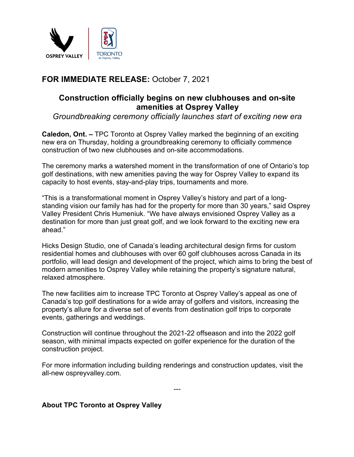

## **FOR IMMEDIATE RELEASE:** October 7, 2021

## **Construction officially begins on new clubhouses and on-site amenities at Osprey Valley**

*Groundbreaking ceremony officially launches start of exciting new era*

**Caledon, Ont. –** TPC Toronto at Osprey Valley marked the beginning of an exciting new era on Thursday, holding a groundbreaking ceremony to officially commence construction of two new clubhouses and on-site accommodations.

The ceremony marks a watershed moment in the transformation of one of Ontario's top golf destinations, with new amenities paving the way for Osprey Valley to expand its capacity to host events, stay-and-play trips, tournaments and more.

"This is a transformational moment in Osprey Valley's history and part of a longstanding vision our family has had for the property for more than 30 years," said Osprey Valley President Chris Humeniuk. "We have always envisioned Osprey Valley as a destination for more than just great golf, and we look forward to the exciting new era ahead."

Hicks Design Studio, one of Canada's leading architectural design firms for custom residential homes and clubhouses with over 60 golf clubhouses across Canada in its portfolio, will lead design and development of the project, which aims to bring the best of modern amenities to Osprey Valley while retaining the property's signature natural, relaxed atmosphere.

The new facilities aim to increase TPC Toronto at Osprey Valley's appeal as one of Canada's top golf destinations for a wide array of golfers and visitors, increasing the property's allure for a diverse set of events from destination golf trips to corporate events, gatherings and weddings.

Construction will continue throughout the 2021-22 offseason and into the 2022 golf season, with minimal impacts expected on golfer experience for the duration of the construction project.

For more information including building renderings and construction updates, visit the all-new ospreyvalley.com.

---

## **About TPC Toronto at Osprey Valley**